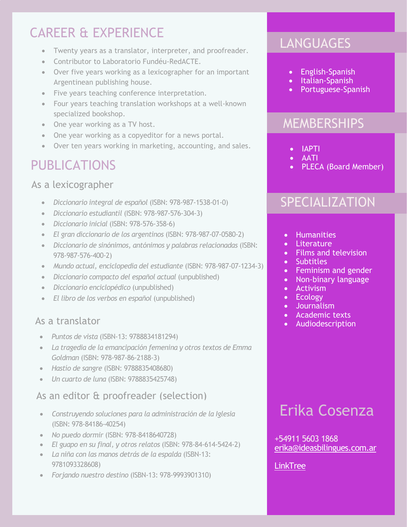## CAREER & EXPERIENCE

- Twenty years as a translator, interpreter, and proofreader.
- Contributor to Laboratorio Fundéu-RedACTE.
- Over five years working as a lexicographer for an important Argentinean publishing house.
- Five years teaching conference interpretation.
- Four years teaching translation workshops at a well-known specialized bookshop.
- One year working as a TV host.
- One year working as a copyeditor for a news portal.
- Over ten years working in marketing, accounting, and sales.

## PUBLICATIONS

### As a lexicographer

- *Diccionario integral de español* (ISBN: 978-987-1538-01-0)
- *Diccionario estudiantil* (ISBN: 978-987-576-304-3)
- *Diccionario inicial* (ISBN: 978-576-358-6)
- *El gran diccionario de los argentinos* (ISBN: 978-987-07-0580-2)
- *Diccionario de sinónimos, antónimos y palabras relacionadas* (ISBN: 978-987-576-400-2)
- *Mundo actual, enciclopedia del estudiante* (ISBN: 978-987-07-1234-3)
- *Diccionario compacto del español actual* (unpublished)
- *Diccionario enciclopédico* (unpublished)
- *El libro de los verbos en español* (unpublished)

### As a translator

- *Puntos de vista* (ISBN-13: 9788834181294)
- *La tragedia de la emancipación femenina y otros textos de Emma Goldman* (ISBN: 978-987-86-2188-3)
- *Hastío de sangre* (ISBN: 9788835408680)
- *Un cuarto de luna* (ISBN: 9788835425748)

#### As an editor & proofreader (selection)

- *Construyendo soluciones para la administración de la Iglesia* (ISBN: 978-84186-40254)
- *No puedo dormir* (ISBN: 978-8418640728)
- *El guapo en su final, y otros relatos* (ISBN: 978-84-614-5424-2)
- *La niña con las manos detrás de la espalda* (ISBN-13: 9781093328608)
- *Forjando nuestro destino* (ISBN-13: 978-9993901310)

## **LANGUAGES**

- English-Spanish
- Italian-Spanish
- Portuguese-Spanish

### **MEMBERSHIPS**

- IAPTI
- AATI
- PLECA (Board Member)

### **SPECIALIZATION**

- Humanities
- Literature
- Films and television
- Subtitles
- Feminism and gender
- Non-binary language
- Activism
- Ecology
- Journalism
- Academic texts
- Audiodescription

# Erika Cosenza

+54911 5603 1868 <erika@ideasbilingues.com.ar>

#### **[LinkTree](https://linktr.ee/erikacosenza)**